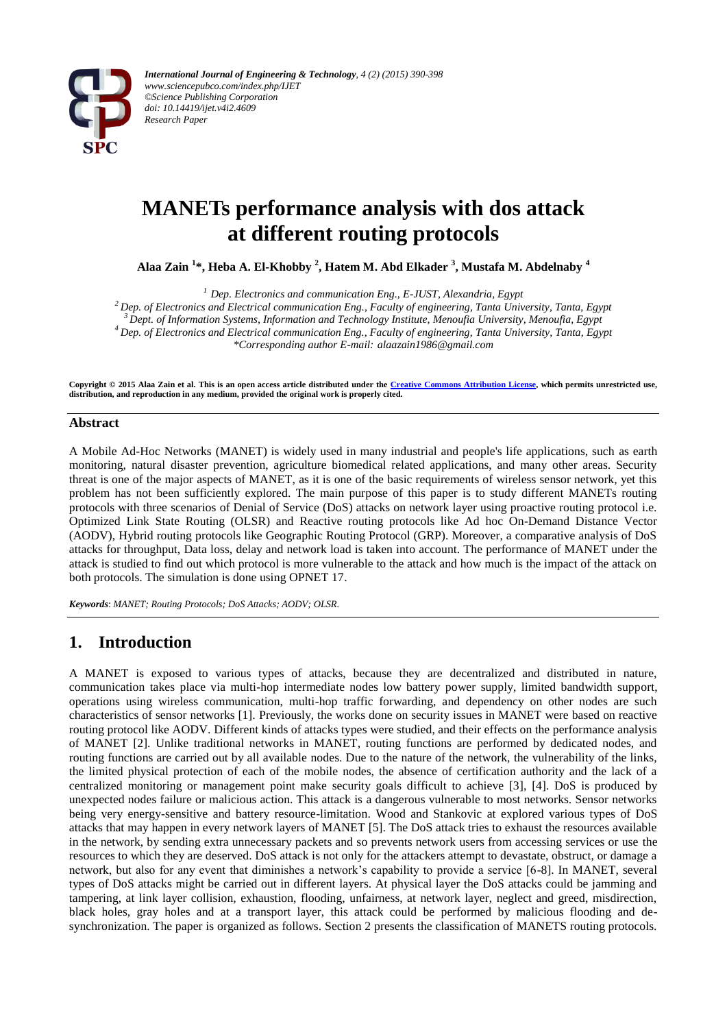

# **MANETs performance analysis with dos attack at different routing protocols**

**Alaa Zain <sup>1</sup> \*, Heba A. El-Khobby <sup>2</sup> , Hatem M. Abd Elkader <sup>3</sup> , Mustafa M. Abdelnaby <sup>4</sup>**

*<sup>1</sup> Dep. Electronics and communication Eng., E-JUST, Alexandria, Egypt*

 *Dep. of Electronics and Electrical communication Eng., Faculty of engineering, Tanta University, Tanta, Egypt Dept. of Information Systems, Information and Technology Institute, Menoufia University, Menoufia, Egypt Dep. of Electronics and Electrical communication Eng., Faculty of engineering, Tanta University, Tanta, Egypt \*Corresponding author E-mail: alaazain1986@gmail.com*

**Copyright © 2015 Alaa Zain et al. This is an open access article distributed under the [Creative Commons Attribution License,](http://creativecommons.org/licenses/by/3.0/) which permits unrestricted use, distribution, and reproduction in any medium, provided the original work is properly cited.**

### **Abstract**

A Mobile Ad-Hoc Networks (MANET) is widely used in many industrial and people's life applications, such as earth monitoring, natural disaster prevention, agriculture biomedical related applications, and many other areas. Security threat is one of the major aspects of MANET, as it is one of the basic requirements of wireless sensor network, yet this problem has not been sufficiently explored. The main purpose of this paper is to study different MANETs routing protocols with three scenarios of Denial of Service (DoS) attacks on network layer using proactive routing protocol i.e. Optimized Link State Routing (OLSR) and Reactive routing protocols like Ad hoc On-Demand Distance Vector (AODV), Hybrid routing protocols like Geographic Routing Protocol (GRP). Moreover, a comparative analysis of DoS attacks for throughput, Data loss, delay and network load is taken into account. The performance of MANET under the attack is studied to find out which protocol is more vulnerable to the attack and how much is the impact of the attack on both protocols. The simulation is done using OPNET 17.

*Keywords*: *MANET; Routing Protocols; DoS Attacks; AODV; OLSR.*

# **1. Introduction**

A MANET is exposed to various types of attacks, because they are decentralized and distributed in nature, communication takes place via multi-hop intermediate nodes low battery power supply, limited bandwidth support, operations using wireless communication, multi-hop traffic forwarding, and dependency on other nodes are such characteristics of sensor networks [1]. Previously, the works done on security issues in MANET were based on reactive routing protocol like AODV. Different kinds of attacks types were studied, and their effects on the performance analysis of MANET [2]. Unlike traditional networks in MANET, routing functions are performed by dedicated nodes, and routing functions are carried out by all available nodes. Due to the nature of the network, the vulnerability of the links, the limited physical protection of each of the mobile nodes, the absence of certification authority and the lack of a centralized monitoring or management point make security goals difficult to achieve [3], [4]. DoS is produced by unexpected nodes failure or malicious action. This attack is a dangerous vulnerable to most networks. Sensor networks being very energy-sensitive and battery resource-limitation. Wood and Stankovic at explored various types of DoS attacks that may happen in every network layers of MANET [5]. The DoS attack tries to exhaust the resources available in the network, by sending extra unnecessary packets and so prevents network users from accessing services or use the resources to which they are deserved. DoS attack is not only for the attackers attempt to devastate, obstruct, or damage a network, but also for any event that diminishes a network's capability to provide a service [6-8]. In MANET, several types of DoS attacks might be carried out in different layers. At physical layer the DoS attacks could be jamming and tampering, at link layer collision, exhaustion, flooding, unfairness, at network layer, neglect and greed, misdirection, black holes, gray holes and at a transport layer, this attack could be performed by malicious flooding and desynchronization. The paper is organized as follows. Section 2 presents the classification of MANETS routing protocols.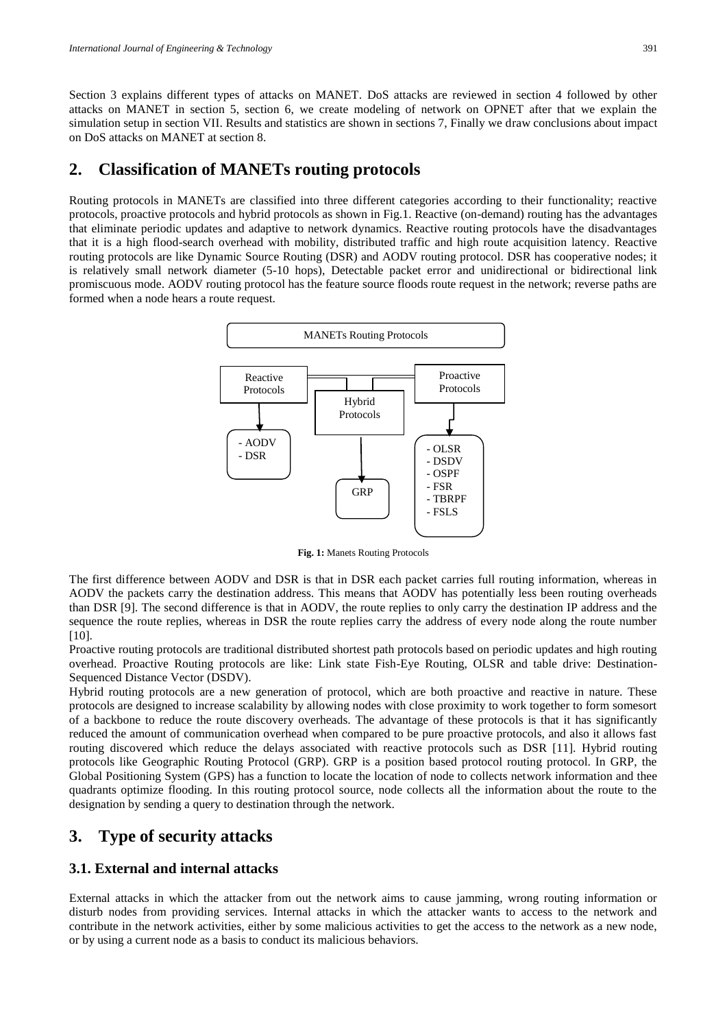Section 3 explains different types of attacks on MANET. DoS attacks are reviewed in section 4 followed by other attacks on MANET in section 5, section 6, we create modeling of network on OPNET after that we explain the simulation setup in section VII. Results and statistics are shown in sections 7, Finally we draw conclusions about impact on DoS attacks on MANET at section 8.

### **2. Classification of MANETs routing protocols**

Routing protocols in MANETs are classified into three different categories according to their functionality; reactive protocols, proactive protocols and hybrid protocols as shown in Fig.1. Reactive (on-demand) routing has the advantages that eliminate periodic updates and adaptive to network dynamics. Reactive routing protocols have the disadvantages that it is a high flood-search overhead with mobility, distributed traffic and high route acquisition latency. Reactive routing protocols are like Dynamic Source Routing (DSR) and AODV routing protocol. DSR has cooperative nodes; it is relatively small network diameter (5-10 hops), Detectable packet error and unidirectional or bidirectional link promiscuous mode. AODV routing protocol has the feature source floods route request in the network; reverse paths are formed when a node hears a route request.



**Fig. 1:** Manets Routing Protocols

The first difference between AODV and DSR is that in DSR each packet carries full routing information, whereas in AODV the packets carry the destination address. This means that AODV has potentially less been routing overheads than DSR [9]. The second difference is that in AODV, the route replies to only carry the destination IP address and the sequence the route replies, whereas in DSR the route replies carry the address of every node along the route number  $[10]$ .

Proactive routing protocols are traditional distributed shortest path protocols based on periodic updates and high routing overhead. Proactive Routing protocols are like: Link state Fish-Eye Routing, OLSR and table drive: Destination-Sequenced Distance Vector (DSDV).

Hybrid routing protocols are a new generation of protocol, which are both proactive and reactive in nature. These protocols are designed to increase scalability by allowing nodes with close proximity to work together to form somesort of a backbone to reduce the route discovery overheads. The advantage of these protocols is that it has significantly reduced the amount of communication overhead when compared to be pure proactive protocols, and also it allows fast routing discovered which reduce the delays associated with reactive protocols such as DSR [11]. Hybrid routing protocols like Geographic Routing Protocol (GRP). GRP is a position based protocol routing protocol. In GRP, the Global Positioning System (GPS) has a function to locate the location of node to collects network information and thee quadrants optimize flooding. In this routing protocol source, node collects all the information about the route to the designation by sending a query to destination through the network.

### **3. Type of security attacks**

### **3.1. External and internal attacks**

External attacks in which the attacker from out the network aims to cause jamming, wrong routing information or disturb nodes from providing services. Internal attacks in which the attacker wants to access to the network and contribute in the network activities, either by some malicious activities to get the access to the network as a new node, or by using a current node as a basis to conduct its malicious behaviors.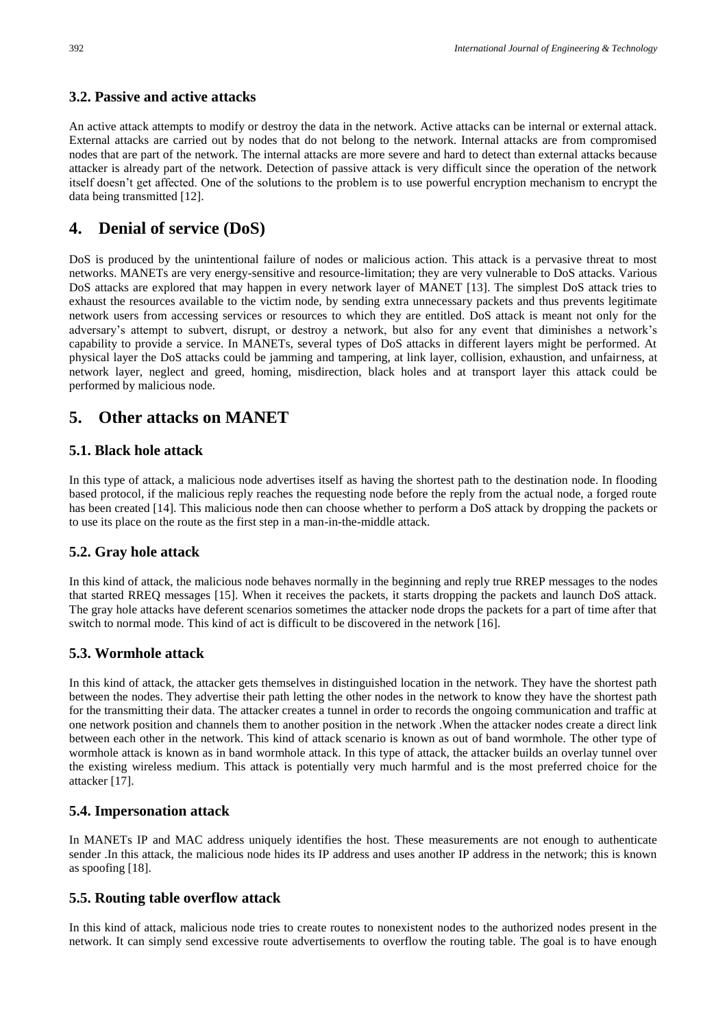### **3.2. Passive and active attacks**

An active attack attempts to modify or destroy the data in the network. Active attacks can be internal or external attack. External attacks are carried out by nodes that do not belong to the network. Internal attacks are from compromised nodes that are part of the network. The internal attacks are more severe and hard to detect than external attacks because attacker is already part of the network. Detection of passive attack is very difficult since the operation of the network itself doesn't get affected. One of the solutions to the problem is to use powerful encryption mechanism to encrypt the data being transmitted [12].

### **4. Denial of service (DoS)**

DoS is produced by the unintentional failure of nodes or malicious action. This attack is a pervasive threat to most networks. MANETs are very energy-sensitive and resource-limitation; they are very vulnerable to DoS attacks. Various DoS attacks are explored that may happen in every network layer of MANET [13]. The simplest DoS attack tries to exhaust the resources available to the victim node, by sending extra unnecessary packets and thus prevents legitimate network users from accessing services or resources to which they are entitled. DoS attack is meant not only for the adversary's attempt to subvert, disrupt, or destroy a network, but also for any event that diminishes a network's capability to provide a service. In MANETs, several types of DoS attacks in different layers might be performed. At physical layer the DoS attacks could be jamming and tampering, at link layer, collision, exhaustion, and unfairness, at network layer, neglect and greed, homing, misdirection, black holes and at transport layer this attack could be performed by malicious node.

### **5. Other attacks on MANET**

### **5.1. Black hole attack**

In this type of attack, a malicious node advertises itself as having the shortest path to the destination node. In flooding based protocol, if the malicious reply reaches the requesting node before the reply from the actual node, a forged route has been created [14]. This malicious node then can choose whether to perform a DoS attack by dropping the packets or to use its place on the route as the first step in a man-in-the-middle attack.

#### **5.2. Gray hole attack**

In this kind of attack, the malicious node behaves normally in the beginning and reply true RREP messages to the nodes that started RREQ messages [15]. When it receives the packets, it starts dropping the packets and launch DoS attack. The gray hole attacks have deferent scenarios sometimes the attacker node drops the packets for a part of time after that switch to normal mode. This kind of act is difficult to be discovered in the network [16].

#### **5.3. Wormhole attack**

In this kind of attack, the attacker gets themselves in distinguished location in the network. They have the shortest path between the nodes. They advertise their path letting the other nodes in the network to know they have the shortest path for the transmitting their data. The attacker creates a tunnel in order to records the ongoing communication and traffic at one network position and channels them to another position in the network .When the attacker nodes create a direct link between each other in the network. This kind of attack scenario is known as out of band wormhole. The other type of wormhole attack is known as in band wormhole attack. In this type of attack, the attacker builds an overlay tunnel over the existing wireless medium. This attack is potentially very much harmful and is the most preferred choice for the attacker [17].

### **5.4. Impersonation attack**

In MANETs IP and MAC address uniquely identifies the host. These measurements are not enough to authenticate sender .In this attack, the malicious node hides its IP address and uses another IP address in the network; this is known as spoofing [18].

### **5.5. Routing table overflow attack**

In this kind of attack, malicious node tries to create routes to nonexistent nodes to the authorized nodes present in the network. It can simply send excessive route advertisements to overflow the routing table. The goal is to have enough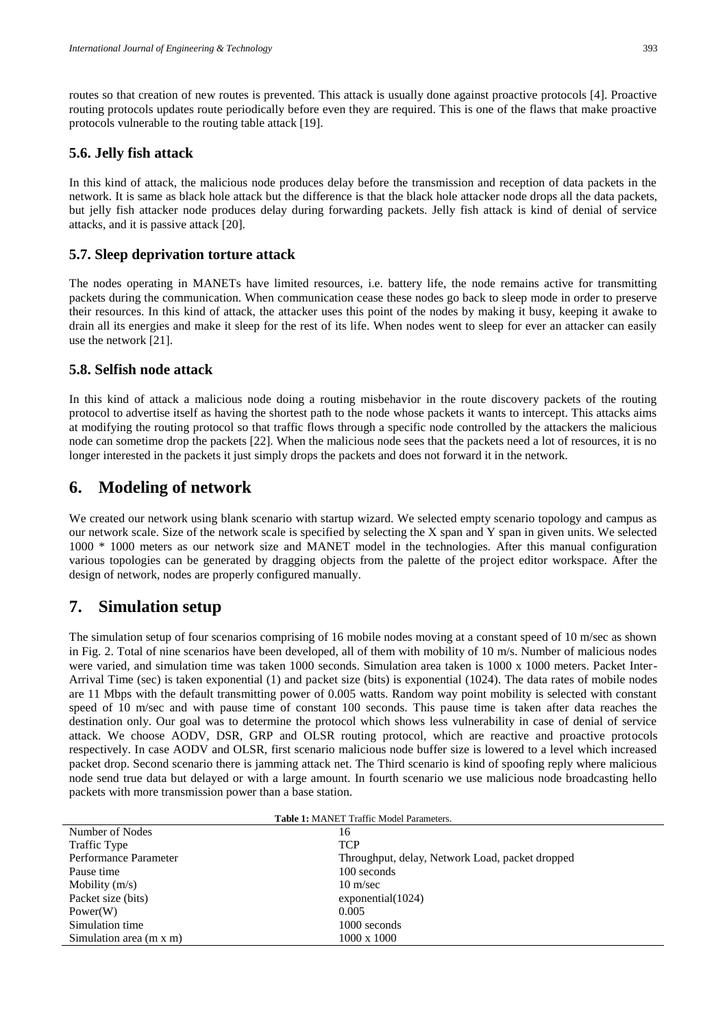routes so that creation of new routes is prevented. This attack is usually done against proactive protocols [4]. Proactive routing protocols updates route periodically before even they are required. This is one of the flaws that make proactive protocols vulnerable to the routing table attack [19].

### **5.6. Jelly fish attack**

In this kind of attack, the malicious node produces delay before the transmission and reception of data packets in the network. It is same as black hole attack but the difference is that the black hole attacker node drops all the data packets, but jelly fish attacker node produces delay during forwarding packets. Jelly fish attack is kind of denial of service attacks, and it is passive attack [20].

### **5.7. Sleep deprivation torture attack**

The nodes operating in MANETs have limited resources, i.e. battery life, the node remains active for transmitting packets during the communication. When communication cease these nodes go back to sleep mode in order to preserve their resources. In this kind of attack, the attacker uses this point of the nodes by making it busy, keeping it awake to drain all its energies and make it sleep for the rest of its life. When nodes went to sleep for ever an attacker can easily use the network [21].

### **5.8. Selfish node attack**

In this kind of attack a malicious node doing a routing misbehavior in the route discovery packets of the routing protocol to advertise itself as having the shortest path to the node whose packets it wants to intercept. This attacks aims at modifying the routing protocol so that traffic flows through a specific node controlled by the attackers the malicious node can sometime drop the packets [22]. When the malicious node sees that the packets need a lot of resources, it is no longer interested in the packets it just simply drops the packets and does not forward it in the network.

### **6. Modeling of network**

We created our network using blank scenario with startup wizard. We selected empty scenario topology and campus as our network scale. Size of the network scale is specified by selecting the X span and Y span in given units. We selected 1000 \* 1000 meters as our network size and MANET model in the technologies. After this manual configuration various topologies can be generated by dragging objects from the palette of the project editor workspace. After the design of network, nodes are properly configured manually.

# **7. Simulation setup**

The simulation setup of four scenarios comprising of 16 mobile nodes moving at a constant speed of 10 m/sec as shown in Fig. 2. Total of nine scenarios have been developed, all of them with mobility of 10 m/s. Number of malicious nodes were varied, and simulation time was taken 1000 seconds. Simulation area taken is 1000 x 1000 meters. Packet Inter-Arrival Time (sec) is taken exponential (1) and packet size (bits) is exponential (1024). The data rates of mobile nodes are 11 Mbps with the default transmitting power of 0.005 watts. Random way point mobility is selected with constant speed of 10 m/sec and with pause time of constant 100 seconds. This pause time is taken after data reaches the destination only. Our goal was to determine the protocol which shows less vulnerability in case of denial of service attack. We choose AODV, DSR, GRP and OLSR routing protocol, which are reactive and proactive protocols respectively. In case AODV and OLSR, first scenario malicious node buffer size is lowered to a level which increased packet drop. Second scenario there is jamming attack net. The Third scenario is kind of spoofing reply where malicious node send true data but delayed or with a large amount. In fourth scenario we use malicious node broadcasting hello packets with more transmission power than a base station.

| Table 1: MANET Traffic Model Parameters. |                                                 |
|------------------------------------------|-------------------------------------------------|
| Number of Nodes                          | 16                                              |
| Traffic Type                             | <b>TCP</b>                                      |
| Performance Parameter                    | Throughput, delay, Network Load, packet dropped |
| Pause time                               | 100 seconds                                     |
| Mobility $(m/s)$                         | $10 \text{ m/sec}$                              |
| Packet size (bits)                       | exponential(1024)                               |
| Power(W)                                 | 0.005                                           |
| Simulation time                          | 1000 seconds                                    |
| Simulation area $(m x m)$                | $1000 \times 1000$                              |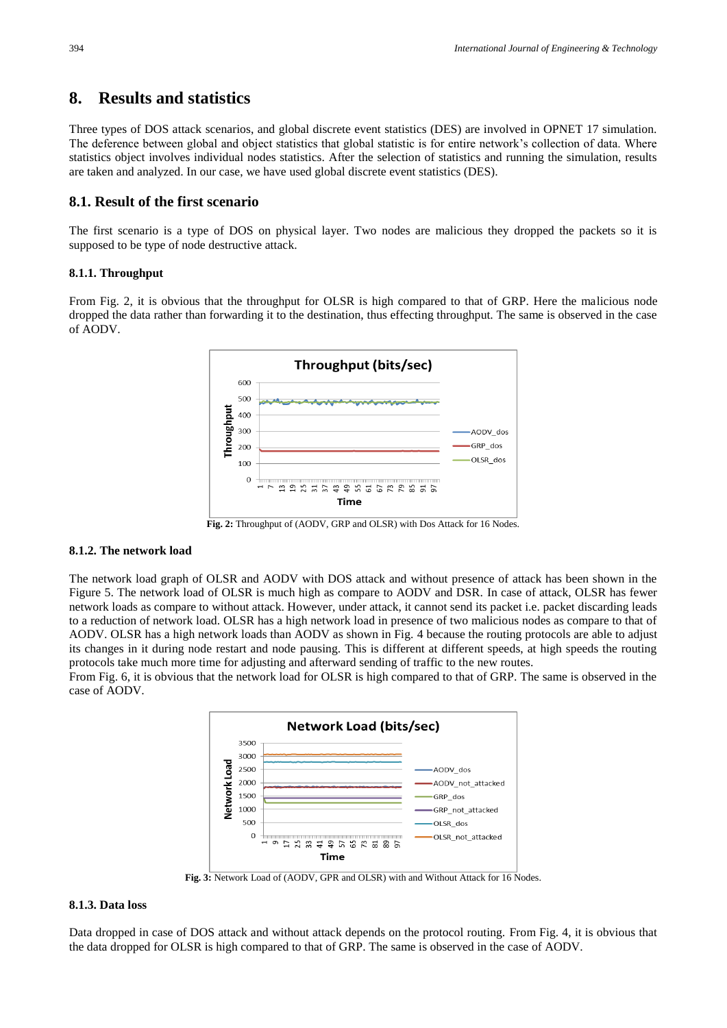### **8. Results and statistics**

Three types of DOS attack scenarios, and global discrete event statistics (DES) are involved in OPNET 17 simulation. The deference between global and object statistics that global statistic is for entire network's collection of data. Where statistics object involves individual nodes statistics. After the selection of statistics and running the simulation, results are taken and analyzed. In our case, we have used global discrete event statistics (DES).

### **8.1. Result of the first scenario**

The first scenario is a type of DOS on physical layer. Two nodes are malicious they dropped the packets so it is supposed to be type of node destructive attack.

#### **8.1.1. Throughput**

From Fig. 2, it is obvious that the throughput for OLSR is high compared to that of GRP. Here the malicious node dropped the data rather than forwarding it to the destination, thus effecting throughput. The same is observed in the case of AODV.



**Fig. 2:** Throughput of (AODV, GRP and OLSR) with Dos Attack for 16 Nodes.

#### **8.1.2. The network load**

The network load graph of OLSR and AODV with DOS attack and without presence of attack has been shown in the Figure 5. The network load of OLSR is much high as compare to AODV and DSR. In case of attack, OLSR has fewer network loads as compare to without attack. However, under attack, it cannot send its packet i.e. packet discarding leads to a reduction of network load. OLSR has a high network load in presence of two malicious nodes as compare to that of AODV. OLSR has a high network loads than AODV as shown in Fig. 4 because the routing protocols are able to adjust its changes in it during node restart and node pausing. This is different at different speeds, at high speeds the routing protocols take much more time for adjusting and afterward sending of traffic to the new routes.

From Fig. 6, it is obvious that the network load for OLSR is high compared to that of GRP. The same is observed in the case of AODV.



**Fig. 3:** Network Load of (AODV, GPR and OLSR) with and Without Attack for 16 Nodes.

### **8.1.3. Data loss**

Data dropped in case of DOS attack and without attack depends on the protocol routing. From Fig. 4, it is obvious that the data dropped for OLSR is high compared to that of GRP. The same is observed in the case of AODV.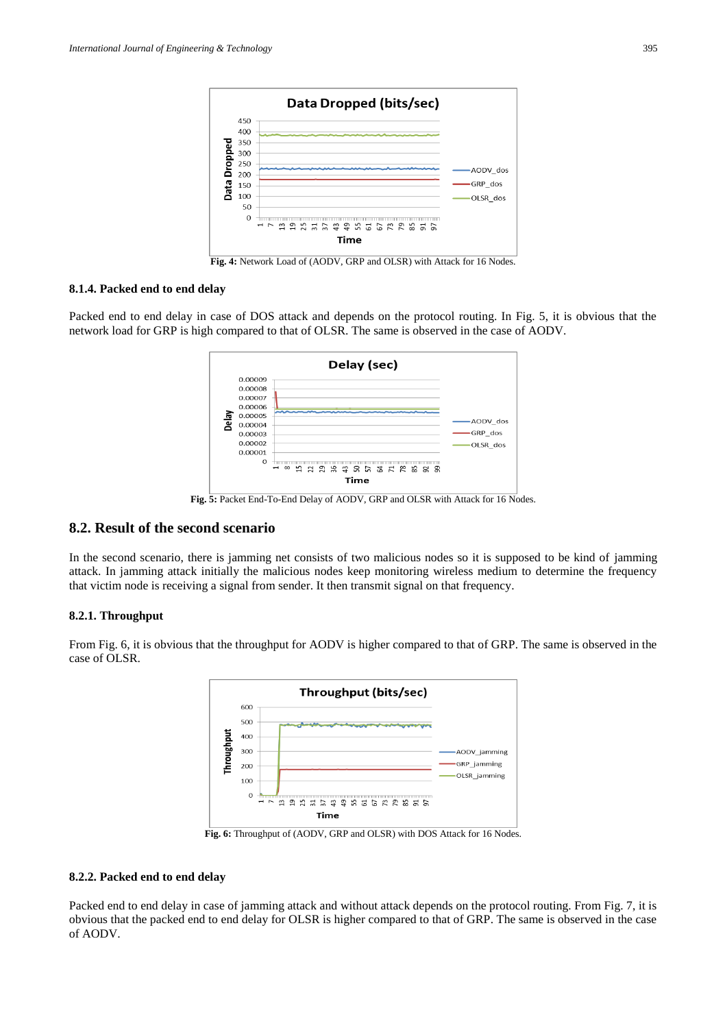

**Fig. 4:** Network Load of (AODV, GRP and OLSR) with Attack for 16 Nodes.

#### **8.1.4. Packed end to end delay**

Packed end to end delay in case of DOS attack and depends on the protocol routing. In Fig. 5, it is obvious that the network load for GRP is high compared to that of OLSR. The same is observed in the case of AODV.



**Fig. 5:** Packet End-To-End Delay of AODV, GRP and OLSR with Attack for 16 Nodes.

### **8.2. Result of the second scenario**

In the second scenario, there is jamming net consists of two malicious nodes so it is supposed to be kind of jamming attack. In jamming attack initially the malicious nodes keep monitoring wireless medium to determine the frequency that victim node is receiving a signal from sender. It then transmit signal on that frequency.

#### **8.2.1. Throughput**

From Fig. 6, it is obvious that the throughput for AODV is higher compared to that of GRP. The same is observed in the case of OLSR.



Fig. 6: Throughput of (AODV, GRP and OLSR) with DOS Attack for 16 Nodes.

#### **8.2.2. Packed end to end delay**

Packed end to end delay in case of jamming attack and without attack depends on the protocol routing. From Fig. 7, it is obvious that the packed end to end delay for OLSR is higher compared to that of GRP. The same is observed in the case of AODV.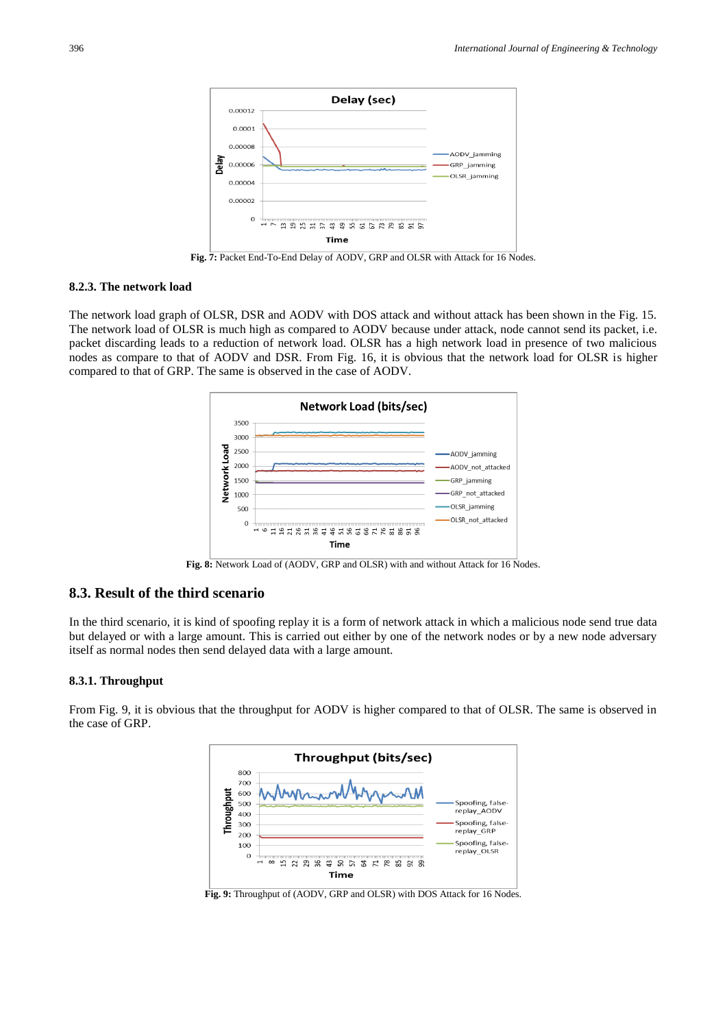

**Fig. 7:** Packet End-To-End Delay of AODV, GRP and OLSR with Attack for 16 Nodes.

### **8.2.3. The network load**

The network load graph of OLSR, DSR and AODV with DOS attack and without attack has been shown in the Fig. 15. The network load of OLSR is much high as compared to AODV because under attack, node cannot send its packet, i.e. packet discarding leads to a reduction of network load. OLSR has a high network load in presence of two malicious nodes as compare to that of AODV and DSR. From Fig. 16, it is obvious that the network load for OLSR is higher compared to that of GRP. The same is observed in the case of AODV.



**Fig. 8:** Network Load of (AODV, GRP and OLSR) with and without Attack for 16 Nodes.

### **8.3. Result of the third scenario**

In the third scenario, it is kind of spoofing replay it is a form of network attack in which a malicious node send true data but delayed or with a large amount. This is carried out either by one of the network nodes or by a new node adversary itself as normal nodes then send delayed data with a large amount.

#### **8.3.1. Throughput**

From Fig. 9, it is obvious that the throughput for AODV is higher compared to that of OLSR. The same is observed in the case of GRP.



**Fig. 9:** Throughput of (AODV, GRP and OLSR) with DOS Attack for 16 Nodes.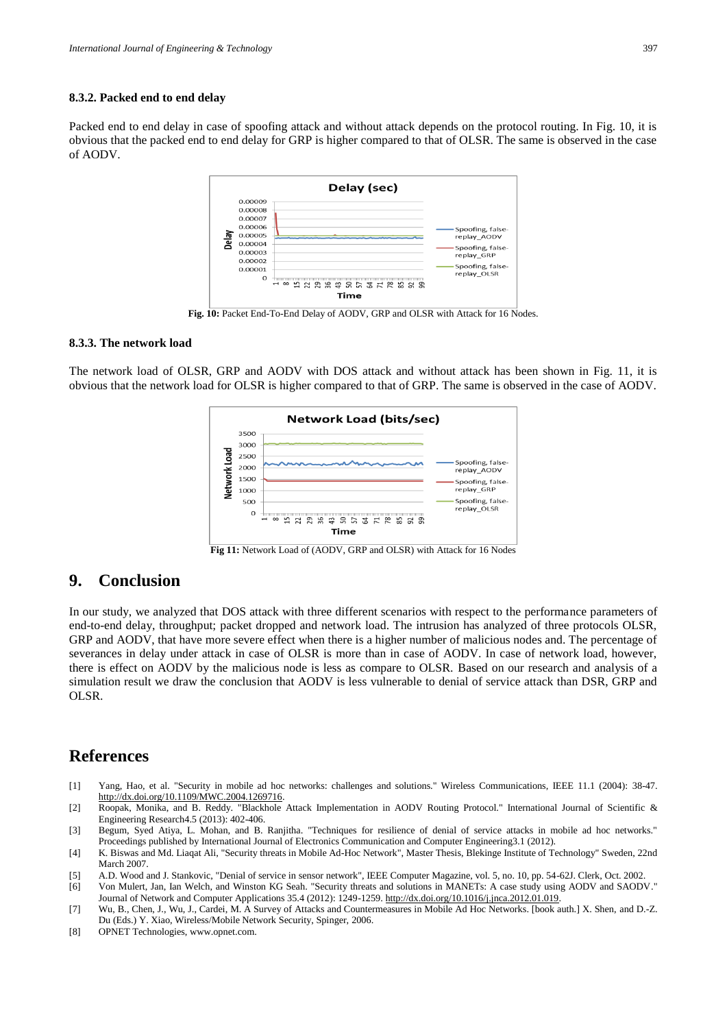#### **8.3.2. Packed end to end delay**

Packed end to end delay in case of spoofing attack and without attack depends on the protocol routing. In Fig. 10, it is obvious that the packed end to end delay for GRP is higher compared to that of OLSR. The same is observed in the case of AODV.



**Fig. 10:** Packet End-To-End Delay of AODV, GRP and OLSR with Attack for 16 Nodes.

#### **8.3.3. The network load**

The network load of OLSR, GRP and AODV with DOS attack and without attack has been shown in Fig. 11, it is obvious that the network load for OLSR is higher compared to that of GRP. The same is observed in the case of AODV.



**Fig 11:** Network Load of (AODV, GRP and OLSR) with Attack for 16 Nodes

### **9. Conclusion**

In our study, we analyzed that DOS attack with three different scenarios with respect to the performance parameters of end-to-end delay, throughput; packet dropped and network load. The intrusion has analyzed of three protocols OLSR, GRP and AODV, that have more severe effect when there is a higher number of malicious nodes and. The percentage of severances in delay under attack in case of OLSR is more than in case of AODV. In case of network load, however, there is effect on AODV by the malicious node is less as compare to OLSR. Based on our research and analysis of a simulation result we draw the conclusion that AODV is less vulnerable to denial of service attack than DSR, GRP and OLSR.

### **References**

- [1] Yang, Hao, et al. "Security in mobile ad hoc networks: challenges and solutions." Wireless Communications, IEEE 11.1 (2004): 38-47. [http://dx.doi.org/10.1109/MWC.2004.1269716.](http://dx.doi.org/10.1109/MWC.2004.1269716)
- [2] Roopak, Monika, and B. Reddy. "Blackhole Attack Implementation in AODV Routing Protocol." International Journal of Scientific & Engineering Research4.5 (2013): 402-406.
- [3] Begum, Syed Atiya, L. Mohan, and B. Ranjitha. "Techniques for resilience of denial of service attacks in mobile ad hoc networks." Proceedings published by International Journal of Electronics Communication and Computer Engineering3.1 (2012).
- [4] K. Biswas and Md. Liaqat Ali, "Security threats in Mobile Ad-Hoc Network", Master Thesis, Blekinge Institute of Technology" Sweden, 22nd March 2007.
- [5] A.D. Wood and J. Stankovic, "Denial of service in sensor network", IEEE Computer Magazine, vol. 5, no. 10, pp. 54-62J. Clerk, Oct. 2002. [6] Von Mulert, Jan, Ian Welch, and Winston KG Seah. "Security threats and solutions in MANETs: A case study using AODV and SAODV."
- Journal of Network and Computer Applications 35.4 (2012): 1249-1259[. http://dx.doi.org/10.1016/j.jnca.2012.01.019.](http://dx.doi.org/10.1016/j.jnca.2012.01.019)
- [7] Wu, B., Chen, J., Wu, J., Cardei, M. A Survey of Attacks and Countermeasures in Mobile Ad Hoc Networks. [book auth.] X. Shen, and D.-Z. Du (Eds.) Y. Xiao, Wireless/Mobile Network Security, Spinger, 2006.
- [8] OPNET Technologies, www.opnet.com.